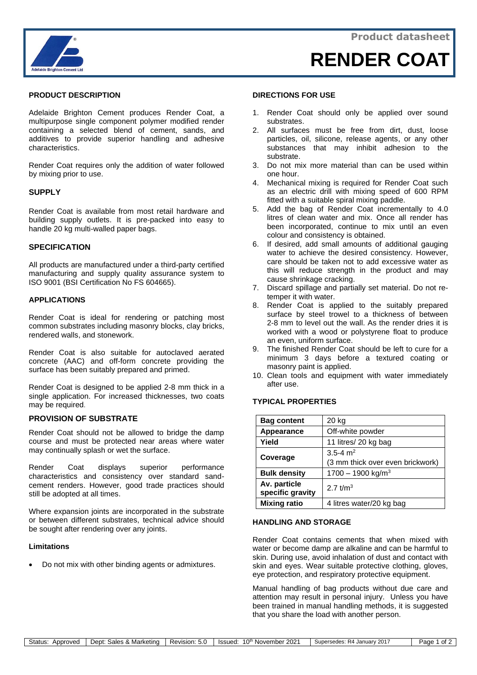

## **PRODUCT DESCRIPTION**

Adelaide Brighton Cement produces Render Coat, a multipurpose single component polymer modified render containing a selected blend of cement, sands, and additives to provide superior handling and adhesive characteristics.

Render Coat requires only the addition of water followed by mixing prior to use.

# **SUPPLY**

Render Coat is available from most retail hardware and building supply outlets. It is pre-packed into easy to handle 20 kg multi-walled paper bags.

### **SPECIFICATION**

All products are manufactured under a third-party certified manufacturing and supply quality assurance system to ISO 9001 (BSI Certification No FS 604665).

### **APPLICATIONS**

Render Coat is ideal for rendering or patching most common substrates including masonry blocks, clay bricks, rendered walls, and stonework.

Render Coat is also suitable for autoclaved aerated concrete (AAC) and off-form concrete providing the surface has been suitably prepared and primed.

Render Coat is designed to be applied 2-8 mm thick in a single application. For increased thicknesses, two coats may be required.

### **PROVISION OF SUBSTRATE**

Render Coat should not be allowed to bridge the damp course and must be protected near areas where water may continually splash or wet the surface.

Render Coat displays superior performance characteristics and consistency over standard sandcement renders. However, good trade practices should still be adopted at all times.

Where expansion joints are incorporated in the substrate or between different substrates, technical advice should be sought after rendering over any joints.

### **Limitations**

• Do not mix with other binding agents or admixtures.

#### **DIRECTIONS FOR USE**

- 1. Render Coat should only be applied over sound substrates.
- 2. All surfaces must be free from dirt, dust, loose particles, oil, silicone, release agents, or any other substances that may inhibit adhesion to the substrate.
- 3. Do not mix more material than can be used within one hour.
- 4. Mechanical mixing is required for Render Coat such as an electric drill with mixing speed of 600 RPM fitted with a suitable spiral mixing paddle.
- 5. Add the bag of Render Coat incrementally to 4.0 litres of clean water and mix. Once all render has been incorporated, continue to mix until an even colour and consistency is obtained.
- 6. If desired, add small amounts of additional gauging water to achieve the desired consistency. However, care should be taken not to add excessive water as this will reduce strength in the product and may cause shrinkage cracking.
- 7. Discard spillage and partially set material. Do not retemper it with water.
- 8. Render Coat is applied to the suitably prepared surface by steel trowel to a thickness of between 2-8 mm to level out the wall. As the render dries it is worked with a wood or polystyrene float to produce an even, uniform surface.
- 9. The finished Render Coat should be left to cure for a minimum 3 days before a textured coating or masonry paint is applied.
- 10. Clean tools and equipment with water immediately after use.

### **TYPICAL PROPERTIES**

| <b>Bag content</b>  | 20 kg                            |
|---------------------|----------------------------------|
| Appearance          | Off-white powder                 |
| Yield               | 11 litres/ 20 kg bag             |
| Coverage            | 3.5-4 $m2$                       |
|                     | (3 mm thick over even brickwork) |
| <b>Bulk density</b> | $1700 - 1900$ kg/m <sup>3</sup>  |
| Av. particle        | 2.7 $t/m^3$                      |
| specific gravity    |                                  |
| <b>Mixing ratio</b> | 4 litres water/20 kg bag         |

#### **HANDLING AND STORAGE**

Render Coat contains cements that when mixed with water or become damp are alkaline and can be harmful to skin. During use, avoid inhalation of dust and contact with skin and eyes. Wear suitable protective clothing, gloves, eye protection, and respiratory protective equipment.

Manual handling of bag products without due care and attention may result in personal injury. Unless you have been trained in manual handling methods, it is suggested that you share the load with another person.